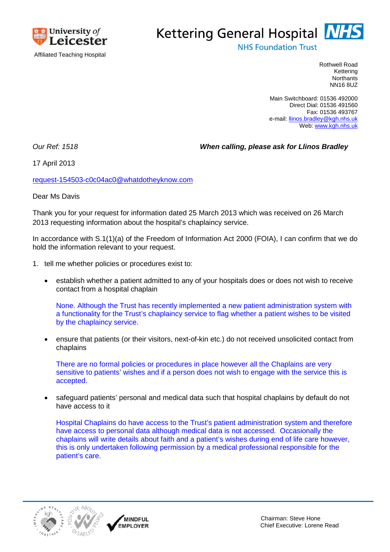

## Kettering General Hospital **NHS**

**NHS Foundation Trust** 

Rothwell Road Kettering **Northants** NN16 8UZ

Main Switchboard: 01536 492000 Direct Dial: 01536 491560 Fax: 01536 493767 e-mail: llinos.bradley@kgh.nhs.uk Web: www.kgh.nhs.uk

*Our Ref: 1518 When calling, please ask for Llinos Bradley*

17 April 2013

request-154503-c0c04ac0@whatdotheyknow.com

Dear Ms Davis

Thank you for your request for information dated 25 March 2013 which was received on 26 March 2013 requesting information about the hospital's chaplaincy service.

In accordance with S.1(1)(a) of the Freedom of Information Act 2000 (FOIA), I can confirm that we do hold the information relevant to your request.

- 1. tell me whether policies or procedures exist to:
	- establish whether a patient admitted to any of your hospitals does or does not wish to receive contact from a hospital chaplain

None. Although the Trust has recently implemented a new patient administration system with a functionality for the Trust's chaplaincy service to flag whether a patient wishes to be visited by the chaplaincy service.

 ensure that patients (or their visitors, next-of-kin etc.) do not received unsolicited contact from chaplains

There are no formal policies or procedures in place however all the Chaplains are very sensitive to patients' wishes and if a person does not wish to engage with the service this is accepted.

 safeguard patients' personal and medical data such that hospital chaplains by default do not have access to it

Hospital Chaplains do have access to the Trust's patient administration system and therefore have access to personal data although medical data is not accessed. Occasionally the chaplains will write details about faith and a patient's wishes during end of life care however, this is only undertaken following permission by a medical professional responsible for the patient's care.



MINDFUL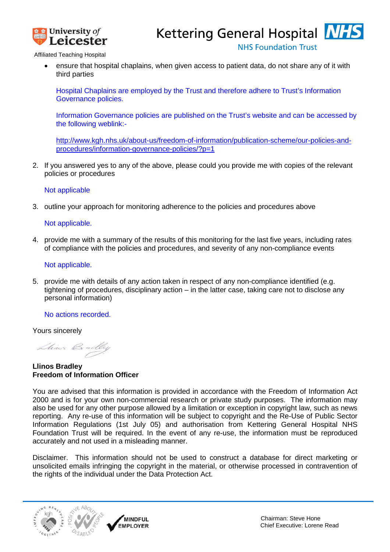

Kettering General Hospital **NHS** 

**NHS Foundation Trust** 

Affiliated Teaching Hospital

 ensure that hospital chaplains, when given access to patient data, do not share any of it with third parties

Hospital Chaplains are employed by the Trust and therefore adhere to Trust's Information Governance policies.

Information Governance policies are published on the Trust's website and can be accessed by the following weblink:-

http://www.kgh.nhs.uk/about-us/freedom-of-information/publication-scheme/our-policies-andprocedures/information-governance-policies/?p=1

2. If you answered yes to any of the above, please could you provide me with copies of the relevant policies or procedures

Not applicable

3. outline your approach for monitoring adherence to the policies and procedures above

## Not applicable.

4. provide me with a summary of the results of this monitoring for the last five years, including rates of compliance with the policies and procedures, and severity of any non-compliance events

Not applicable.

5. provide me with details of any action taken in respect of any non-compliance identified (e.g. tightening of procedures, disciplinary action – in the latter case, taking care not to disclose any personal information)

No actions recorded.

Yours sincerely

Lhines Bradley

**Llinos Bradley Freedom of Information Officer**

You are advised that this information is provided in accordance with the Freedom of Information Act 2000 and is for your own non-commercial research or private study purposes. The information may also be used for any other purpose allowed by a limitation or exception in copyright law, such as news reporting. Any re-use of this information will be subject to copyright and the Re-Use of Public Sector Information Regulations (1st July 05) and authorisation from Kettering General Hospital NHS Foundation Trust will be required. In the event of any re-use, the information must be reproduced accurately and not used in a misleading manner.

Disclaimer. This information should not be used to construct a database for direct marketing or unsolicited emails infringing the copyright in the material, or otherwise processed in contravention of the rights of the individual under the Data Protection Act.